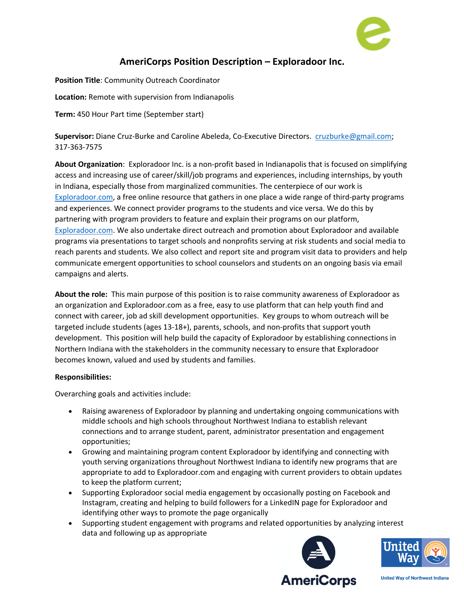

## **AmeriCorps Position Description – Exploradoor Inc.**

**Position Title**: Community Outreach Coordinator **Location:** Remote with supervision from Indianapolis **Term:** 450 Hour Part time (September start)

**Supervisor:** Diane Cruz-Burke and Caroline Abeleda, Co-Executive Directors. cruzburke@gmail.com; 317-363-7575

**About Organization**: Exploradoor Inc. is a non-profit based in Indianapolis that is focused on simplifying access and increasing use of career/skill/job programs and experiences, including internships, by youth in Indiana, especially those from marginalized communities. The centerpiece of our work is Exploradoor.com, a free online resource that gathers in one place a wide range of third-party programs and experiences. We connect provider programs to the students and vice versa. We do this by partnering with program providers to feature and explain their programs on our platform, Exploradoor.com. We also undertake direct outreach and promotion about Exploradoor and available programs via presentations to target schools and nonprofits serving at risk students and social media to reach parents and students. We also collect and report site and program visit data to providers and help communicate emergent opportunities to school counselors and students on an ongoing basis via email campaigns and alerts.

**About the role:** This main purpose of this position is to raise community awareness of Exploradoor as an organization and Exploradoor.com as a free, easy to use platform that can help youth find and connect with career, job ad skill development opportunities. Key groups to whom outreach will be targeted include students (ages 13-18+), parents, schools, and non-profits that support youth development. This position will help build the capacity of Exploradoor by establishing connections in Northern Indiana with the stakeholders in the community necessary to ensure that Exploradoor becomes known, valued and used by students and families.

## **Responsibilities:**

Overarching goals and activities include:

- Raising awareness of Exploradoor by planning and undertaking ongoing communications with middle schools and high schools throughout Northwest Indiana to establish relevant connections and to arrange student, parent, administrator presentation and engagement opportunities;
- Growing and maintaining program content Exploradoor by identifying and connecting with youth serving organizations throughout Northwest Indiana to identify new programs that are appropriate to add to Exploradoor.com and engaging with current providers to obtain updates to keep the platform current;
- Supporting Exploradoor social media engagement by occasionally posting on Facebook and Instagram, creating and helping to build followers for a LinkedIN page for Exploradoor and identifying other ways to promote the page organically
- Supporting student engagement with programs and related opportunities by analyzing interest data and following up as appropriate





**United Way of Northwest Indiana**